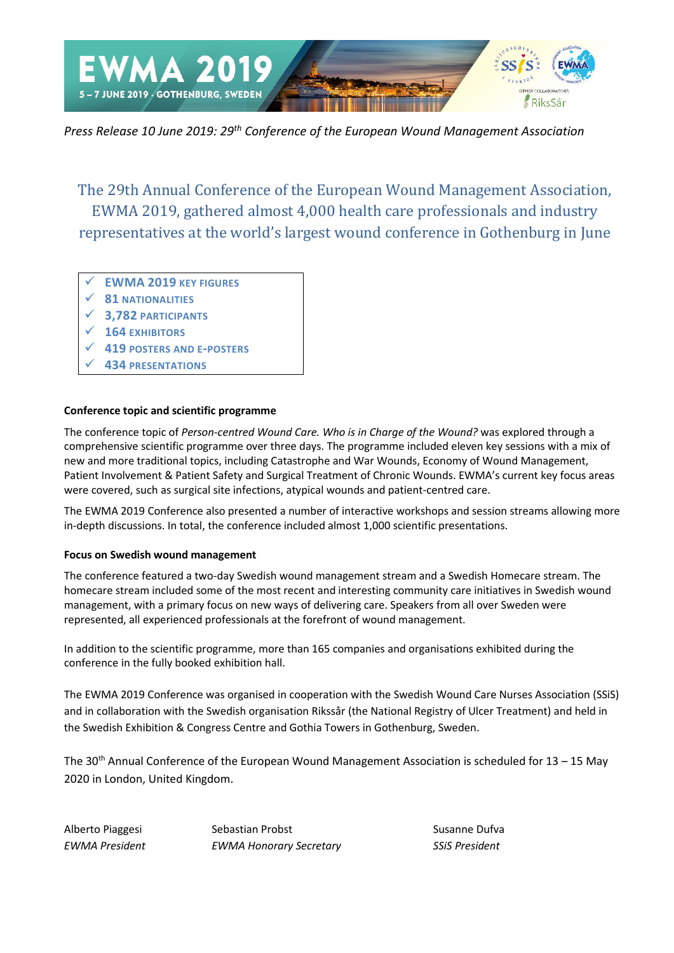

*Press Release 10 June 2019: 29th Conference of the European Wound Management Association*

The 29th Annual Conference of the European Wound Management Association, EWMA 2019, gathered almost 4,000 health care professionals and industry representatives at the world's largest wound conference in Gothenburg in June

- **EWMA 2019 KEY FIGURES**
- **81 NATIONALITIES**
- **3,782 PARTICIPANTS**
- **164 EXHIBITORS**
- **419 POSTERS AND E-POSTERS**
- **434 PRESENTATIONS**

# **Conference topic and scientific programme**

The conference topic of *Person-centred Wound Care. Who is in Charge of the Wound?* was explored through a comprehensive scientific programme over three days. The programme included eleven key sessions with a mix of new and more traditional topics, including Catastrophe and War Wounds, Economy of Wound Management, Patient Involvement & Patient Safety and Surgical Treatment of Chronic Wounds. EWMA's current key focus areas were covered, such as surgical site infections, atypical wounds and patient-centred care.

The EWMA 2019 Conference also presented a number of interactive workshops and session streams allowing more in-depth discussions. In total, the conference included almost 1,000 scientific presentations.

# **Focus on Swedish wound management**

The conference featured a two-day Swedish wound management stream and a Swedish Homecare stream. The homecare stream included some of the most recent and interesting community care initiatives in Swedish wound management, with a primary focus on new ways of delivering care. Speakers from all over Sweden were represented, all experienced professionals at the forefront of wound management.

In addition to the scientific programme, more than 165 companies and organisations exhibited during the conference in the fully booked exhibition hall.

The EWMA 2019 Conference was organised in cooperation with the Swedish Wound Care Nurses Association (SSiS) and in collaboration with the Swedish organisation Rikssår (the National Registry of Ulcer Treatment) and held in the Swedish Exhibition & Congress Centre and Gothia Towers in Gothenburg, Sweden.

The 30<sup>th</sup> Annual Conference of the European Wound Management Association is scheduled for  $13 - 15$  May 2020 in London, United Kingdom.

Alberto Piaggesi Sebastian Probst Susanne Dufva *EWMA President EWMA Honorary Secretary SSiS President*